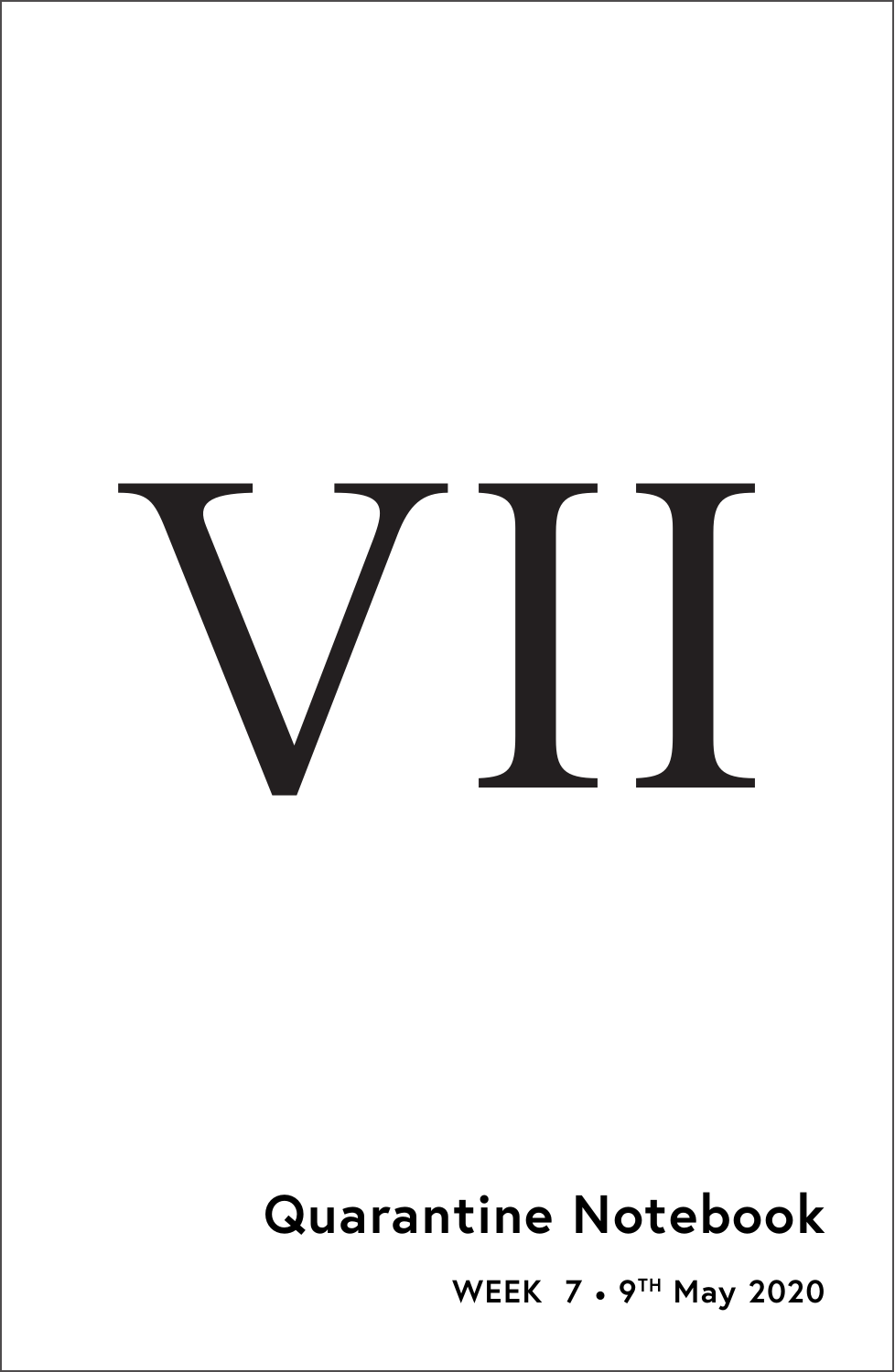

# **Quarantine Notebook**

**WEEK 7** • **9TH May 2020**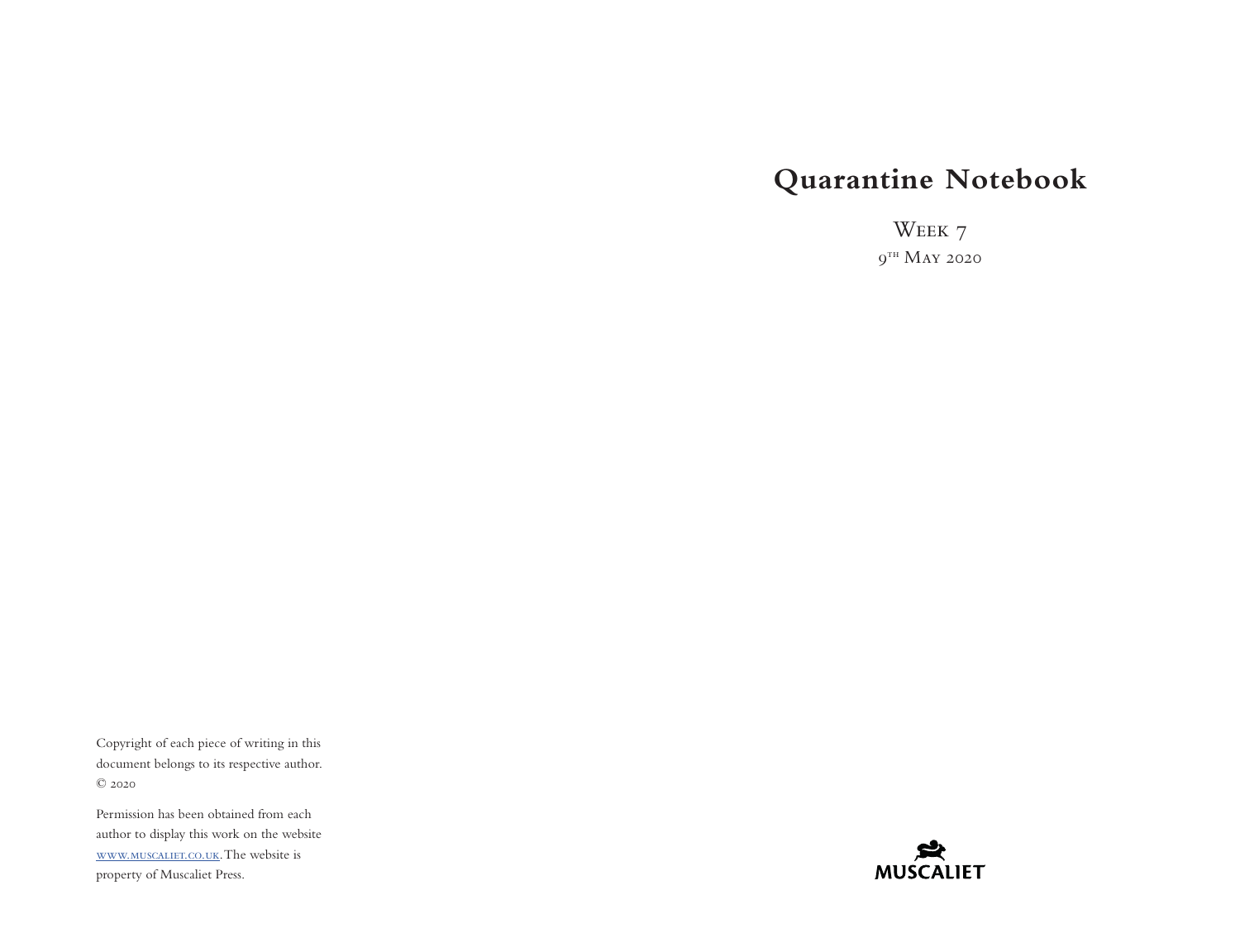# **Quarantine Notebook**

Week 7  $9<sup>th</sup>$  May 2020

Copyright of each piece of writing in this document belongs to its respective author. © 2020

Permission has been obtained from each author to display this work on the website [www.muscaliet.co.uk.](https://www.muscaliet.co.uk) The website is property of Muscaliet Press.

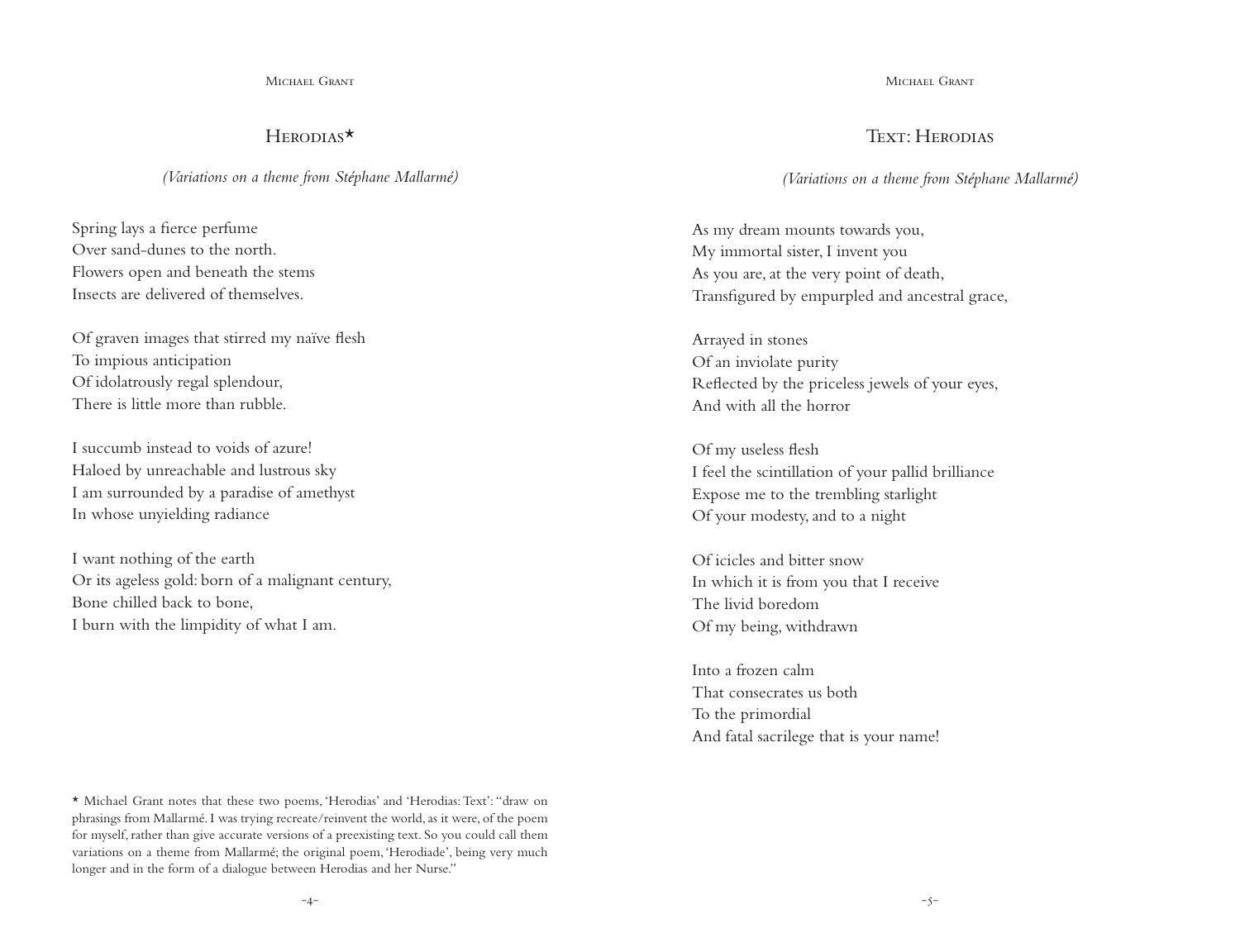Michael Grant

# Herodias\*

*(Variations on a theme from Stéphane Mallarmé)*

Spring lays a fierce perfume Over sand-dunes to the north. Flowers open and beneath the stems Insects are delivered of themselves.

Of graven images that stirred my naïve flesh To impious anticipation Of idolatrously regal splendour, There is little more than rubble.

I succumb instead to voids of azure! Haloed by unreachable and lustrous sky I am surrounded by a paradise of amethyst In whose unyielding radiance

I want nothing of the earth Or its ageless gold: born of a malignant century, Bone chilled back to bone, I burn with the limpidity of what I am.

Michael Grant

## Text<sup>.</sup> Herodias

*(Variations on a theme from Stéphane Mallarmé)*

As my dream mounts towards you, My immortal sister, I invent you As you are, at the very point of death, Transfigured by empurpled and ancestral grace,

Arrayed in stones Of an inviolate purity Reflected by the priceless jewels of your eyes, And with all the horror

Of my useless flesh I feel the scintillation of your pallid brilliance Expose me to the trembling starlight Of your modesty, and to a night

Of icicles and bitter snow In which it is from you that I receive The livid boredom Of my being, withdrawn

Into a frozen calm That consecrates us both To the primordial And fatal sacrilege that is your name!

\* Michael Grant notes that these two poems, 'Herodias' and 'Herodias: Text': "draw on phrasings from Mallarmé. I was trying recreate/reinvent the world, as it were, of the poem for myself, rather than give accurate versions of a preexisting text. So you could call them variations on a theme from Mallarmé; the original poem, 'Herodiade', being very much longer and in the form of a dialogue between Herodias and her Nurse."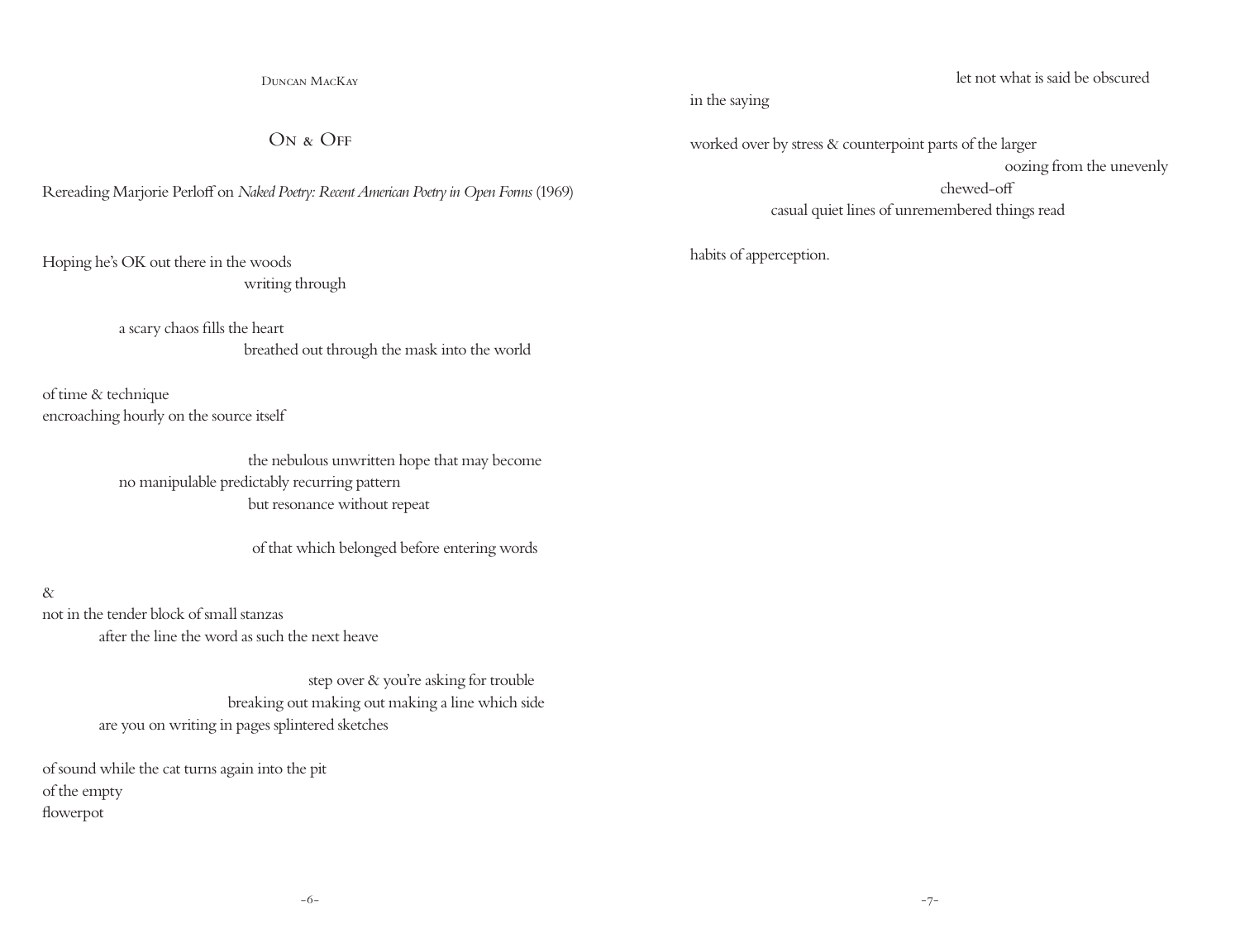Duncan MacKay

 $ON$  &  $OFF$ 

Rereading Marjorie Perloff on *Naked Poetry: Recent American Poetry in Open Forms* (1969)

Hoping he's OK out there in the woods

writing through

 a scary chaos fills the heart breathed out through the mask into the world

of time & technique encroaching hourly on the source itself

> the nebulous unwritten hope that may become no manipulable predictably recurring pattern but resonance without repeat

> > of that which belonged before entering words

&

not in the tender block of small stanzas after the line the word as such the next heave

> step over & you're asking for trouble breaking out making out making a line which side are you on writing in pages splintered sketches

of sound while the cat turns again into the pit of the empty flowerpot

let not what is said be obscured

in the saying

worked over by stress & counterpoint parts of the larger oozing from the unevenly chewed-off casual quiet lines of unremembered things read

habits of apperception.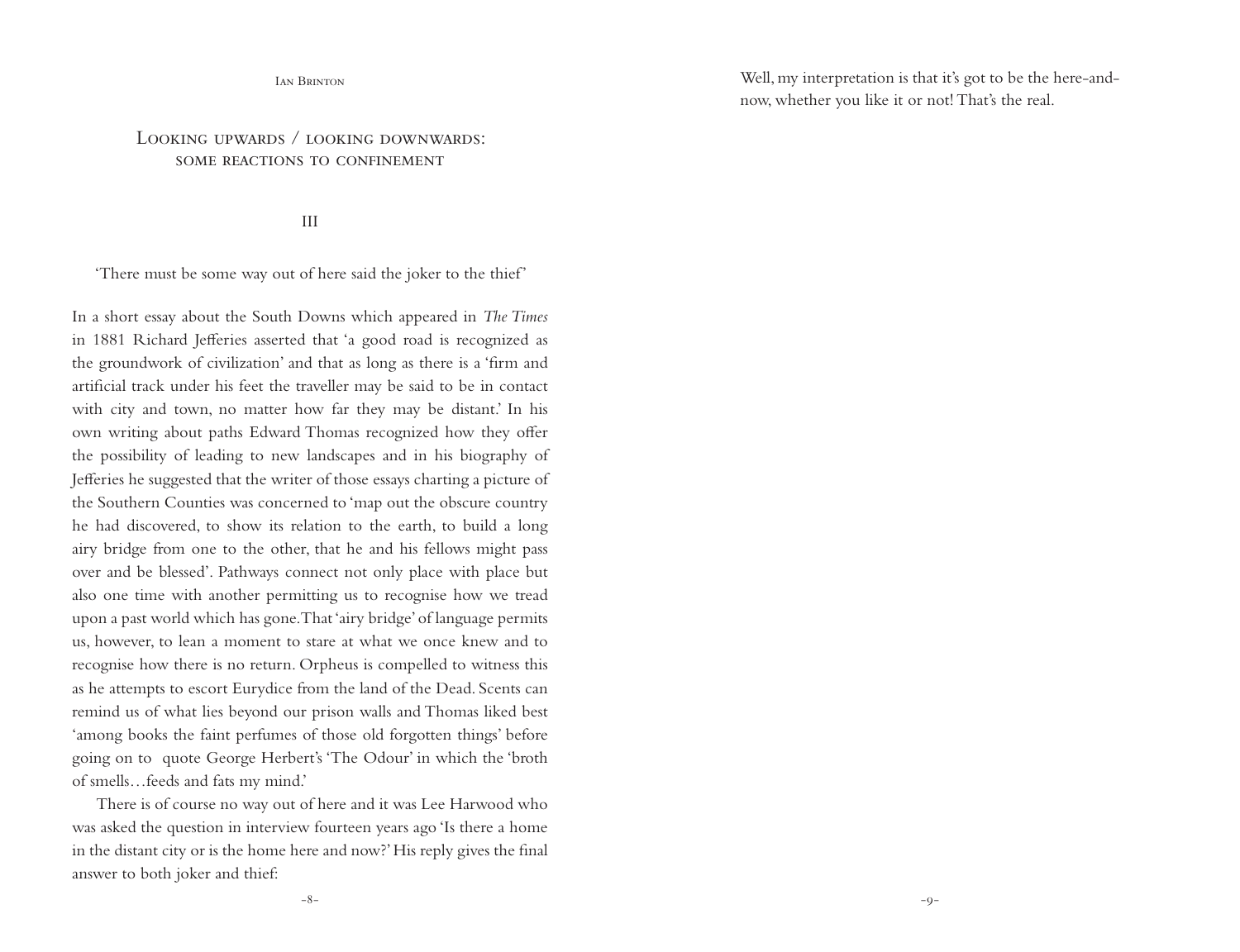#### Ian Brinton

# LOOKING UPWARDS / LOOKING DOWNWARDS SOME REACTIONS TO CONFINEMENT

III

'There must be some way out of here said the joker to the thief'

In a short essay about the South Downs which appeared in *The Times*  in 1881 Richard Jefferies asserted that 'a good road is recognized as the groundwork of civilization' and that as long as there is a 'firm and artificial track under his feet the traveller may be said to be in contact with city and town, no matter how far they may be distant.' In his own writing about paths Edward Thomas recognized how they offer the possibility of leading to new landscapes and in his biography of Jefferies he suggested that the writer of those essays charting a picture of the Southern Counties was concerned to 'map out the obscure country he had discovered, to show its relation to the earth, to build a long airy bridge from one to the other, that he and his fellows might pass over and be blessed'. Pathways connect not only place with place but also one time with another permitting us to recognise how we tread upon a past world which has gone. That 'airy bridge' of language permits us, however, to lean a moment to stare at what we once knew and to recognise how there is no return. Orpheus is compelled to witness this as he attempts to escort Eurydice from the land of the Dead. Scents can remind us of what lies beyond our prison walls and Thomas liked best 'among books the faint perfumes of those old forgotten things' before going on to quote George Herbert's 'The Odour' in which the 'broth of smells…feeds and fats my mind.'

There is of course no way out of here and it was Lee Harwood who was asked the question in interview fourteen years ago 'Is there a home in the distant city or is the home here and now?' His reply gives the final answer to both joker and thief:

Well, my interpretation is that it's got to be the here-andnow, whether you like it or not! That's the real.